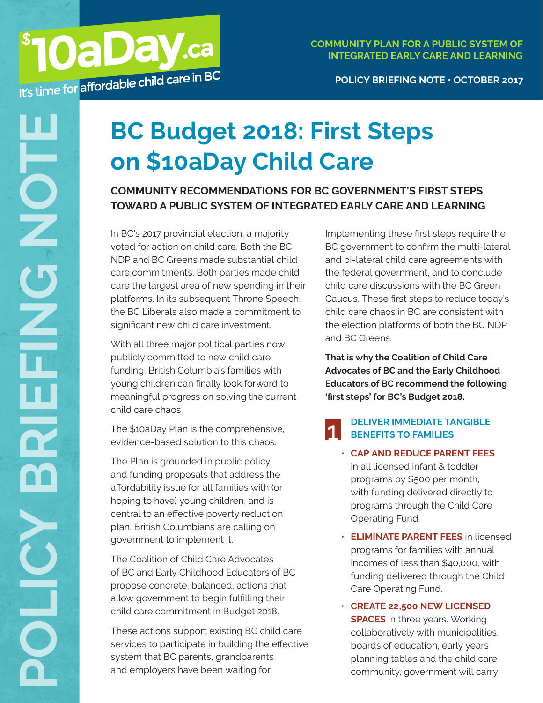# **BC Budget 2018: First Steps on \$10aDay Child Care**

**COMMUNITY RECOMMENDATIONS FOR BC GOVERNMENT'S FIRST STEPS TOWARD A PUBLIC SYSTEM OF INTEGRATED EARLY CARE AND LEARNING**

In BC's 2017 provincial election, a majority voted for action on child care. Both the BC NDP and BC Greens made substantial child care commitments. Both parties made child care the largest area of new spending in their platforms. In its subsequent Throne Speech, the BC Liberals also made a commitment to significant new child care investment.

**MOaDay.ca** 

With all three major political parties now publicly committed to new child care funding, British Columbia's families with young children can finally look forward to meaningful progress on solving the current child care chaos.

The \$10aDay Plan is the comprehensive, evidence-based solution to this chaos.

The Plan is grounded in public policy and funding proposals that address the affordability issue for all families with (or hoping to have) young children, and is central to an effective poverty reduction plan. British Columbians are calling on government to implement it.

The Coalition of Child Care Advocates of BC and Early Childhood Educators of BC propose concrete, balanced, actions that allow government to begin fulfilling their child care commitment in Budget 2018.

These actions support existing BC child care services to participate in building the effective system that BC parents, grandparents, and employers have been waiting for.

Implementing these first steps require the BC government to confirm the multi-lateral and bi-lateral child care agreements with the federal government, and to conclude child care discussions with the BC Green Caucus. These first steps to reduce today's child care chaos in BC are consistent with the election platforms of both the BC NDP and BC Greens.

**That is why the Coalition of Child Care Advocates of BC and the Early Childhood Educators of BC recommend the following 'first steps' for BC's Budget 2018.**

#### **DELIVER IMMEDIATE TANGIBLE BENEFITS TO FAMILIES** 1

- **CAP AND REDUCE PARENT FEES** in all licensed infant & toddler programs by \$500 per month, with funding delivered directly to programs through the Child Care Operating Fund.
- **ELIMINATE PARENT FEES** in licensed programs for families with annual incomes of less than \$40,000, with funding delivered through the Child Care Operating Fund.
- **CREATE 22,500 NEW LICENSED SPACES** in three years. Working collaboratively with municipalities, boards of education, early years planning tables and the child care community, government will carry